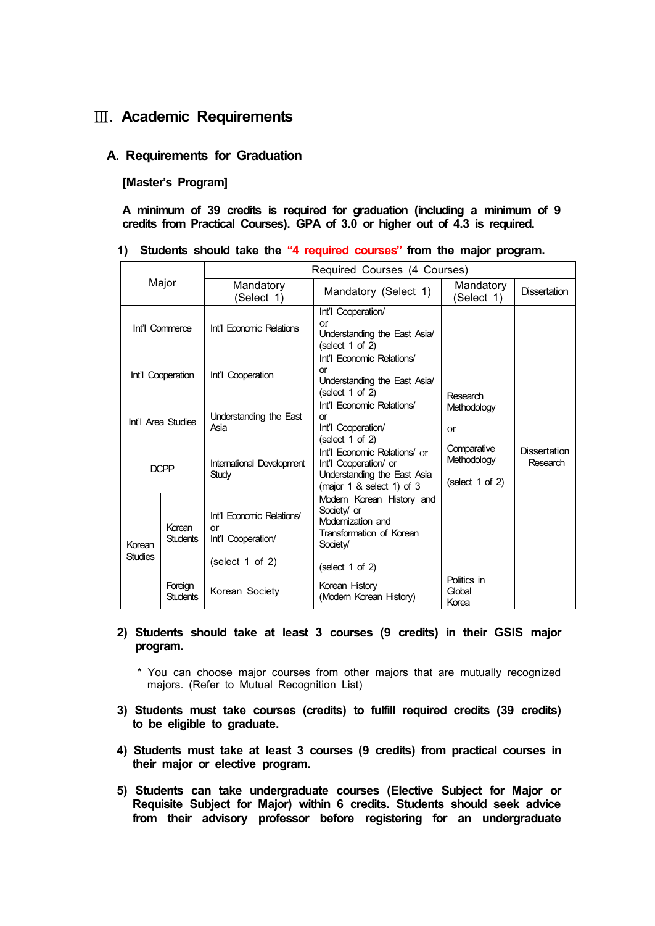# Ⅲ**. Academic Requirements**

## **A. Requirements for Graduation**

## **[Master's Program]**

**A minimum of 39 credits is required for graduation (including a minimum of 9 credits from Practical Courses). GPA of 3.0 or higher out of 4.3 is required.**

### **1) Students should take the "4 required courses" from the major program.**

| Major                    |                            | Required Courses (4 Courses)                          |                                                                                                                          |                                                                                            |                                 |
|--------------------------|----------------------------|-------------------------------------------------------|--------------------------------------------------------------------------------------------------------------------------|--------------------------------------------------------------------------------------------|---------------------------------|
|                          |                            | Mandatory<br>(Select 1)                               | Mandatory (Select 1)                                                                                                     | Mandatory<br>(Select 1)                                                                    | <b>Dissertation</b>             |
| Int'l Commerce           |                            | Int'l Economic Relations                              | Int'l Cooperation/<br><sub>or</sub><br>Understanding the East Asia/<br>(select 1 of 2)                                   | Research<br>Methodology<br><b>or</b><br>Comparative<br>Methodology<br>(select $1$ of $2$ ) | <b>Dissertation</b><br>Research |
| Int'l Cooperation        |                            | Int'l Cooperation                                     | Int'l Economic Relations/<br>or<br>Understanding the East Asia/<br>(select 1 of 2)                                       |                                                                                            |                                 |
| Int'l Area Studies       |                            | Understanding the East<br>Asia                        | Int'l Economic Relations/<br>or<br>Int'l Cooperation/<br>(select 1 of 2)                                                 |                                                                                            |                                 |
| <b>DCPP</b>              |                            | International Development<br>Study                    | Int'l Economic Relations/ or<br>Int'l Cooperation/ or<br>Understanding the East Asia<br>(major $1$ & select $1$ ) of $3$ |                                                                                            |                                 |
| Korean<br><b>Studies</b> | Korean<br><b>Students</b>  | Int'l Economic Relations/<br>or<br>Int'l Cooperation/ | Modern Korean History and<br>Society/ or<br>Modernization and<br>Transformation of Korean<br>Society/                    |                                                                                            |                                 |
|                          |                            | (select $1$ of $2$ )                                  | (select $1$ of $2$ )                                                                                                     |                                                                                            |                                 |
|                          | Foreign<br><b>Students</b> | Korean Society                                        | Korean History<br>(Modern Korean History)                                                                                | Politics in<br>Global<br>Korea                                                             |                                 |

- **2) Students should take at least 3 courses (9 credits) in their GSIS major program.** 
	- \* You can choose major courses from other majors that are mutually recognized majors. (Refer to Mutual Recognition List)
- **3) Students must take courses (credits) to fulfill required credits (39 credits) to be eligible to graduate.**
- **4) Students must take at least 3 courses (9 credits) from practical courses in their major or elective program.**
- **5) Students can take undergraduate courses (Elective Subject for Major or Requisite Subject for Major) within 6 credits. Students should seek advice from their advisory professor before registering for an undergraduate**